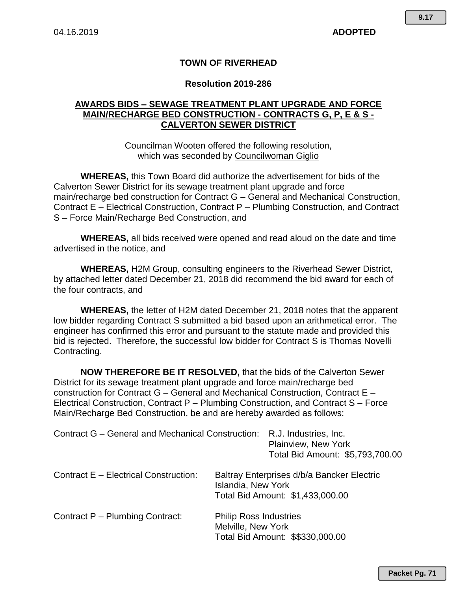# **TOWN OF RIVERHEAD**

## **Resolution 2019-286**

# **AWARDS BIDS – SEWAGE TREATMENT PLANT UPGRADE AND FORCE MAIN/RECHARGE BED CONSTRUCTION - CONTRACTS G, P, E & S - CALVERTON SEWER DISTRICT**

Councilman Wooten offered the following resolution, which was seconded by Councilwoman Giglio

**WHEREAS,** this Town Board did authorize the advertisement for bids of the Calverton Sewer District for its sewage treatment plant upgrade and force main/recharge bed construction for Contract G – General and Mechanical Construction, Contract E – Electrical Construction, Contract P – Plumbing Construction, and Contract S – Force Main/Recharge Bed Construction, and

**WHEREAS,** all bids received were opened and read aloud on the date and time advertised in the notice, and

**WHEREAS,** H2M Group, consulting engineers to the Riverhead Sewer District, by attached letter dated December 21, 2018 did recommend the bid award for each of the four contracts, and

**WHEREAS,** the letter of H2M dated December 21, 2018 notes that the apparent low bidder regarding Contract S submitted a bid based upon an arithmetical error. The engineer has confirmed this error and pursuant to the statute made and provided this bid is rejected. Therefore, the successful low bidder for Contract S is Thomas Novelli Contracting.

**NOW THEREFORE BE IT RESOLVED,** that the bids of the Calverton Sewer District for its sewage treatment plant upgrade and force main/recharge bed construction for Contract G – General and Mechanical Construction, Contract E – Electrical Construction, Contract P – Plumbing Construction, and Contract S – Force Main/Recharge Bed Construction, be and are hereby awarded as follows:

| Contract G – General and Mechanical Construction: | R.J. Industries, Inc.<br>Plainview, New York<br>Total Bid Amount: \$5,793,700.00 |                                                                                |
|---------------------------------------------------|----------------------------------------------------------------------------------|--------------------------------------------------------------------------------|
| Contract E - Electrical Construction:             | <b>Islandia, New York</b>                                                        | Baltray Enterprises d/b/a Bancker Electric<br>Total Bid Amount: \$1,433,000.00 |
| Contract P - Plumbing Contract:                   | <b>Philip Ross Industries</b><br>Melville, New York                              | Total Bid Amount: \$\$330,000.00                                               |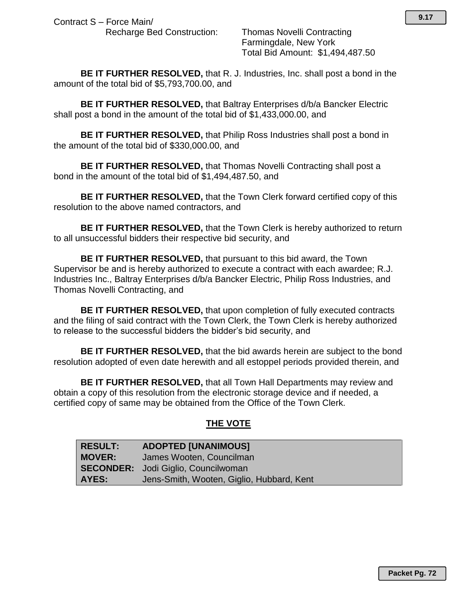Recharge Bed Construction: Thomas Novelli Contracting Farmingdale, New York Total Bid Amount: \$1,494,487.50

**BE IT FURTHER RESOLVED,** that R. J. Industries, Inc. shall post a bond in the amount of the total bid of \$5,793,700.00, and

**BE IT FURTHER RESOLVED,** that Baltray Enterprises d/b/a Bancker Electric shall post a bond in the amount of the total bid of \$1,433,000.00, and

**BE IT FURTHER RESOLVED,** that Philip Ross Industries shall post a bond in the amount of the total bid of \$330,000.00, and

**BE IT FURTHER RESOLVED,** that Thomas Novelli Contracting shall post a bond in the amount of the total bid of \$1,494,487.50, and

**BE IT FURTHER RESOLVED,** that the Town Clerk forward certified copy of this resolution to the above named contractors, and

**BE IT FURTHER RESOLVED,** that the Town Clerk is hereby authorized to return to all unsuccessful bidders their respective bid security, and

**BE IT FURTHER RESOLVED,** that pursuant to this bid award, the Town Supervisor be and is hereby authorized to execute a contract with each awardee; R.J. Industries Inc., Baltray Enterprises d/b/a Bancker Electric, Philip Ross Industries, and Thomas Novelli Contracting, and

**BE IT FURTHER RESOLVED,** that upon completion of fully executed contracts and the filing of said contract with the Town Clerk, the Town Clerk is hereby authorized to release to the successful bidders the bidder's bid security, and

**BE IT FURTHER RESOLVED,** that the bid awards herein are subject to the bond resolution adopted of even date herewith and all estoppel periods provided therein, and

**BE IT FURTHER RESOLVED,** that all Town Hall Departments may review and obtain a copy of this resolution from the electronic storage device and if needed, a certified copy of same may be obtained from the Office of the Town Clerk*.*

# **THE VOTE**

| <b>RESULT:</b> | <b>ADOPTED [UNANIMOUS]</b>                 |
|----------------|--------------------------------------------|
| <b>MOVER:</b>  | James Wooten, Councilman                   |
|                | <b>SECONDER:</b> Jodi Giglio, Councilwoman |
| AYES:          | Jens-Smith, Wooten, Giglio, Hubbard, Kent  |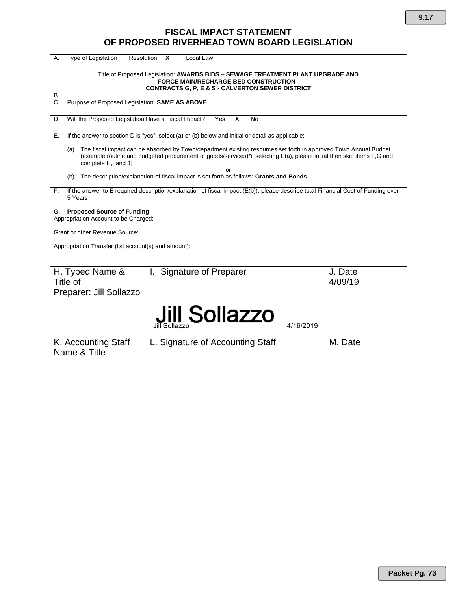# **FISCAL IMPACT STATEMENT OF PROPOSED RIVERHEAD TOWN BOARD LEGISLATION**

| Type of Legislation<br>А.                                                                                                                                                                             | Resolution X<br>Local Law                                                                                                                                                                                                                        |                    |  |  |  |  |  |  |  |  |  |
|-------------------------------------------------------------------------------------------------------------------------------------------------------------------------------------------------------|--------------------------------------------------------------------------------------------------------------------------------------------------------------------------------------------------------------------------------------------------|--------------------|--|--|--|--|--|--|--|--|--|
| Title of Proposed Legislation: AWARDS BIDS - SEWAGE TREATMENT PLANT UPGRADE AND<br><b>FORCE MAIN/RECHARGE BED CONSTRUCTION -</b><br><b>CONTRACTS G. P. E &amp; S - CALVERTON SEWER DISTRICT</b><br>В. |                                                                                                                                                                                                                                                  |                    |  |  |  |  |  |  |  |  |  |
| Purpose of Proposed Legislation: SAME AS ABOVE<br>$\overline{C}$ .                                                                                                                                    |                                                                                                                                                                                                                                                  |                    |  |  |  |  |  |  |  |  |  |
| Will the Proposed Legislation Have a Fiscal Impact?<br>$X$ No<br>D.<br>Yes                                                                                                                            |                                                                                                                                                                                                                                                  |                    |  |  |  |  |  |  |  |  |  |
| Е.                                                                                                                                                                                                    | If the answer to section D is "yes", select (a) or (b) below and initial or detail as applicable:                                                                                                                                                |                    |  |  |  |  |  |  |  |  |  |
| (a)<br>complete H,I and J;                                                                                                                                                                            | The fiscal impact can be absorbed by Town/department existing resources set forth in approved Town Annual Budget<br>(example:routine and budgeted procurement of goods/services)*if selecting E(a), please initial then skip items F,G and<br>or |                    |  |  |  |  |  |  |  |  |  |
| (b)                                                                                                                                                                                                   | The description/explanation of fiscal impact is set forth as follows: Grants and Bonds                                                                                                                                                           |                    |  |  |  |  |  |  |  |  |  |
| F.<br>5 Years                                                                                                                                                                                         | If the answer to E required description/explanation of fiscal impact (E(b)), please describe total Financial Cost of Funding over                                                                                                                |                    |  |  |  |  |  |  |  |  |  |
| <b>Proposed Source of Funding</b><br>G.<br>Appropriation Account to be Charged:                                                                                                                       |                                                                                                                                                                                                                                                  |                    |  |  |  |  |  |  |  |  |  |
| <b>Grant or other Revenue Source:</b>                                                                                                                                                                 |                                                                                                                                                                                                                                                  |                    |  |  |  |  |  |  |  |  |  |
| Appropriation Transfer (list account(s) and amount):                                                                                                                                                  |                                                                                                                                                                                                                                                  |                    |  |  |  |  |  |  |  |  |  |
|                                                                                                                                                                                                       |                                                                                                                                                                                                                                                  |                    |  |  |  |  |  |  |  |  |  |
| H. Typed Name &<br>Title of<br>Preparer: Jill Sollazzo                                                                                                                                                | I. Signature of Preparer                                                                                                                                                                                                                         | J. Date<br>4/09/19 |  |  |  |  |  |  |  |  |  |
|                                                                                                                                                                                                       | <b>Jill Sollazzo</b>                                                                                                                                                                                                                             |                    |  |  |  |  |  |  |  |  |  |
| K. Accounting Staff<br>Name & Title                                                                                                                                                                   | L. Signature of Accounting Staff                                                                                                                                                                                                                 | M. Date            |  |  |  |  |  |  |  |  |  |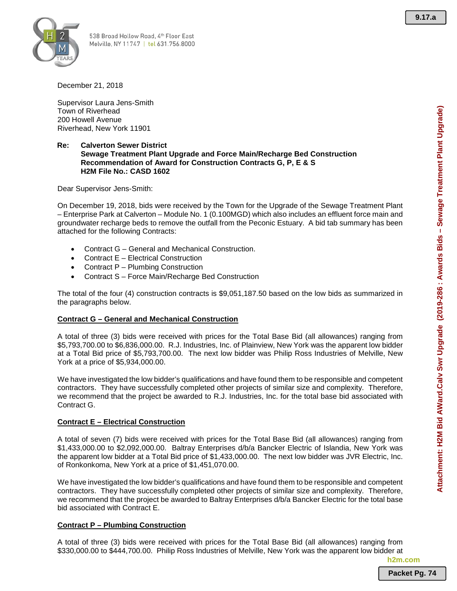**Attachment: H2M Bid AWard.Calv Swr Upgrade (2019-286 : Awards Bids – Sewage Treatment Plant Upgrade)**

Attachment: H2M Bid AWard.Calv Swr Upgrade (2019-286 : Awards Bids - Sewage Treatment Plant Upgrade)



December 21, 2018

Supervisor Laura Jens-Smith Town of Riverhead 200 Howell Avenue Riverhead, New York 11901

#### **Re: Calverton Sewer District Sewage Treatment Plant Upgrade and Force Main/Recharge Bed Construction Recommendation of Award for Construction Contracts G, P, E & S H2M File No.: CASD 1602**

Dear Supervisor Jens-Smith:

On December 19, 2018, bids were received by the Town for the Upgrade of the Sewage Treatment Plant – Enterprise Park at Calverton – Module No. 1 (0.100MGD) which also includes an effluent force main and groundwater recharge beds to remove the outfall from the Peconic Estuary. A bid tab summary has been attached for the following Contracts:

- Contract G General and Mechanical Construction.
- Contract E Electrical Construction
- Contract P Plumbing Construction
- Contract S Force Main/Recharge Bed Construction

The total of the four (4) construction contracts is \$9,051,187.50 based on the low bids as summarized in the paragraphs below.

### **Contract G – General and Mechanical Construction**

A total of three (3) bids were received with prices for the Total Base Bid (all allowances) ranging from \$5,793,700.00 to \$6,836,000.00. R.J. Industries, Inc. of Plainview, New York was the apparent low bidder at a Total Bid price of \$5,793,700.00. The next low bidder was Philip Ross Industries of Melville, New York at a price of \$5,934,000.00.

We have investigated the low bidder's qualifications and have found them to be responsible and competent contractors. They have successfully completed other projects of similar size and complexity. Therefore, we recommend that the project be awarded to R.J. Industries, Inc. for the total base bid associated with Contract G.

### **Contract E – Electrical Construction**

A total of seven (7) bids were received with prices for the Total Base Bid (all allowances) ranging from \$1,433,000.00 to \$2,092,000.00. Baltray Enterprises d/b/a Bancker Electric of Islandia, New York was the apparent low bidder at a Total Bid price of \$1,433,000.00. The next low bidder was JVR Electric, Inc. of Ronkonkoma, New York at a price of \$1,451,070.00.

We have investigated the low bidder's qualifications and have found them to be responsible and competent contractors. They have successfully completed other projects of similar size and complexity. Therefore, we recommend that the project be awarded to Baltray Enterprises d/b/a Bancker Electric for the total base bid associated with Contract E.

### **Contract P – Plumbing Construction**

A total of three (3) bids were received with prices for the Total Base Bid (all allowances) ranging from \$330,000.00 to \$444,700.00. Philip Ross Industries of Melville, New York was the apparent low bidder at

**h2m.com**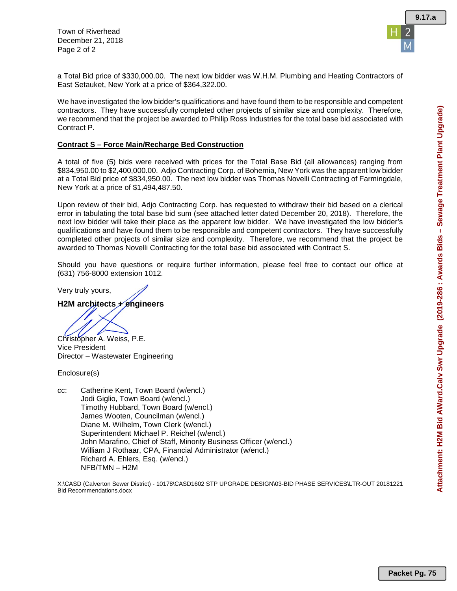Town of Riverhead December 21, 2018 Page 2 of 2



a Total Bid price of \$330,000.00. The next low bidder was W.H.M. Plumbing and Heating Contractors of East Setauket, New York at a price of \$364,322.00.

We have investigated the low bidder's qualifications and have found them to be responsible and competent contractors. They have successfully completed other projects of similar size and complexity. Therefore, we recommend that the project be awarded to Philip Ross Industries for the total base bid associated with Contract P.

#### **Contract S – Force Main/Recharge Bed Construction**

A total of five (5) bids were received with prices for the Total Base Bid (all allowances) ranging from \$834,950.00 to \$2,400,000.00. Adjo Contracting Corp. of Bohemia, New York was the apparent low bidder at a Total Bid price of \$834,950.00. The next low bidder was Thomas Novelli Contracting of Farmingdale, New York at a price of \$1,494,487.50.

Upon review of their bid, Adjo Contracting Corp. has requested to withdraw their bid based on a clerical error in tabulating the total base bid sum (see attached letter dated December 20, 2018). Therefore, the next low bidder will take their place as the apparent low bidder. We have investigated the low bidder's qualifications and have found them to be responsible and competent contractors. They have successfully completed other projects of similar size and complexity. Therefore, we recommend that the project be awarded to Thomas Novelli Contracting for the total base bid associated with Contract S.

Should you have questions or require further information, please feel free to contact our office at (631) 756-8000 extension 1012.

Very truly yours,

### **H2M architects + engineers**

Christopher A. Weiss, P.E.

Vice President Director – Wastewater Engineering

Enclosure(s)

cc: Catherine Kent, Town Board (w/encl.) Jodi Giglio, Town Board (w/encl.) Timothy Hubbard, Town Board (w/encl.) James Wooten, Councilman (w/encl.) Diane M. Wilhelm, Town Clerk (w/encl.) Superintendent Michael P. Reichel (w/encl.) John Marafino, Chief of Staff, Minority Business Officer (w/encl.) William J Rothaar, CPA, Financial Administrator (w/encl.) Richard A. Ehlers, Esq. (w/encl.) NFB/TMN – H2M

X:\CASD (Calverton Sewer District) - 10178\CASD1602 STP UPGRADE DESIGN\03-BID PHASE SERVICES\LTR-OUT 20181221 Bid Recommendations.docx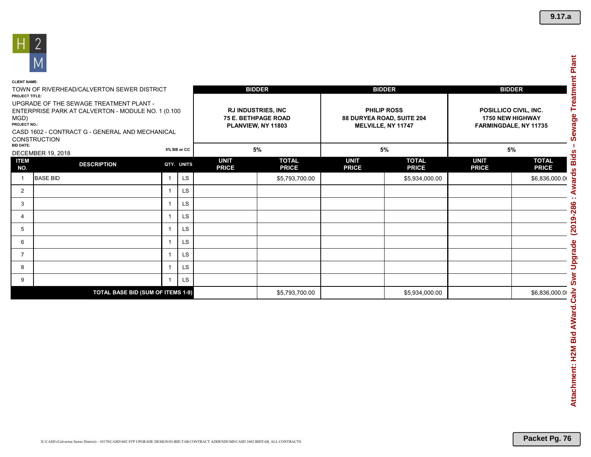

| <b>CLIENT NAME:</b>                                                                                                                                                                             |                                          |                         |                                                                               |                             |                              |                                                                       |                                                                           |                             |                              |
|-------------------------------------------------------------------------------------------------------------------------------------------------------------------------------------------------|------------------------------------------|-------------------------|-------------------------------------------------------------------------------|-----------------------------|------------------------------|-----------------------------------------------------------------------|---------------------------------------------------------------------------|-----------------------------|------------------------------|
| TOWN OF RIVERHEAD/CALVERTON SEWER DISTRICT<br><b>PROJECT TITLE:</b>                                                                                                                             |                                          |                         | <b>BIDDER</b>                                                                 |                             |                              | <b>BIDDER</b>                                                         | <b>BIDDER</b>                                                             |                             |                              |
| UPGRADE OF THE SEWAGE TREATMENT PLANT -<br>ENTERPRISE PARK AT CALVERTON - MODULE NO. 1 (0.100<br>MGD)<br>PROJECT NO.:<br>CASD 1602 - CONTRACT G - GENERAL AND MECHANICAL<br><b>CONSTRUCTION</b> |                                          |                         | <b>RJ INDUSTRIES, INC</b><br><b>75 E. BETHPAGE ROAD</b><br>PLANVIEW, NY 11803 |                             |                              | <b>PHILIP ROSS</b><br>88 DURYEA ROAD, SUITE 204<br>MELVILLE, NY 11747 | POSILLICO CIVIL, INC.<br><b>1750 NEW HIGHWAY</b><br>FARMINGDALE, NY 11735 |                             |                              |
| <b>BID DATE:</b>                                                                                                                                                                                | <b>DECEMBER 19, 2018</b>                 |                         | 5% BB or CC                                                                   | 5%                          |                              | 5%                                                                    |                                                                           | 5%                          |                              |
| <b>ITEM</b><br>NO.                                                                                                                                                                              | <b>DESCRIPTION</b>                       |                         | QTY. UNITS                                                                    | <b>UNIT</b><br><b>PRICE</b> | <b>TOTAL</b><br><b>PRICE</b> | <b>UNIT</b><br><b>PRICE</b>                                           | <b>TOTAL</b><br><b>PRICE</b>                                              | <b>UNIT</b><br><b>PRICE</b> | <b>TOTAL</b><br><b>PRICE</b> |
|                                                                                                                                                                                                 | <b>BASE BID</b>                          | $\overline{1}$          | LS                                                                            |                             | \$5,793,700.00               |                                                                       | \$5,934,000.00                                                            |                             | \$6,836,000.00               |
| 2                                                                                                                                                                                               |                                          |                         | LS                                                                            |                             |                              |                                                                       |                                                                           |                             |                              |
| 3                                                                                                                                                                                               |                                          | -1                      | LS                                                                            |                             |                              |                                                                       |                                                                           |                             |                              |
| 4                                                                                                                                                                                               |                                          | -1                      | <b>LS</b>                                                                     |                             |                              |                                                                       |                                                                           |                             |                              |
| 5                                                                                                                                                                                               |                                          |                         | LS                                                                            |                             |                              |                                                                       |                                                                           |                             |                              |
| 6                                                                                                                                                                                               |                                          |                         | <b>LS</b>                                                                     |                             |                              |                                                                       |                                                                           |                             |                              |
| 7                                                                                                                                                                                               |                                          | $\overline{1}$          | <b>LS</b>                                                                     |                             |                              |                                                                       |                                                                           |                             |                              |
| 8                                                                                                                                                                                               |                                          | $\overline{\mathbf{1}}$ | LS                                                                            |                             |                              |                                                                       |                                                                           |                             |                              |
| 9                                                                                                                                                                                               |                                          |                         | LS                                                                            |                             |                              |                                                                       |                                                                           |                             |                              |
|                                                                                                                                                                                                 | <b>TOTAL BASE BID (SUM OF ITEMS 1-9)</b> |                         | \$5,793,700.00                                                                |                             | \$5,934,000.00               |                                                                       | \$6,836,000.00                                                            |                             |                              |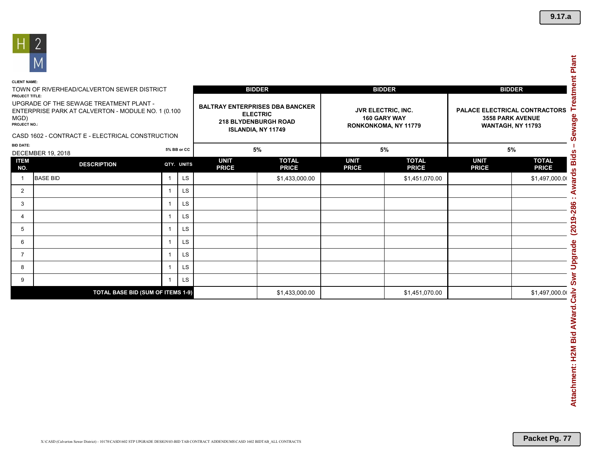

| TOWN OF RIVERHEAD/CALVERTON SEWER DISTRICT<br>PROJECT TITLE:<br>UPGRADE OF THE SEWAGE TREATMENT PLANT -<br>ENTERPRISE PARK AT CALVERTON - MODULE NO. 1 (0.100<br>MGD)<br>PROJECT NO.:<br>CASD 1602 - CONTRACT E - ELECTRICAL CONSTRUCTION |                                          |                   |          | <b>BIDDER</b><br><b>BALTRAY ENTERPRISES DBA BANCKER</b><br><b>ELECTRIC</b><br>218 BLYDENBURGH ROAD<br>ISLANDIA, NY 11749 | <b>BIDDER</b><br>JVR ELECTRIC, INC.<br>160 GARY WAY<br>RONKONKOMA, NY 11779 |                             | <b>BIDDER</b><br>PALACE ELECTRICAL CONTRACTORS<br><b>3558 PARK AVENUE</b><br>WANTAGH, NY 11793 |                             |                              |
|-------------------------------------------------------------------------------------------------------------------------------------------------------------------------------------------------------------------------------------------|------------------------------------------|-------------------|----------|--------------------------------------------------------------------------------------------------------------------------|-----------------------------------------------------------------------------|-----------------------------|------------------------------------------------------------------------------------------------|-----------------------------|------------------------------|
| <b>BID DATE:</b><br><b>DECEMBER 19, 2018</b>                                                                                                                                                                                              |                                          | 5% BB or CC       |          |                                                                                                                          | $5\%$                                                                       |                             | $5\%$                                                                                          | 5%                          |                              |
| <b>ITEM</b><br><b>DESCRIPTION</b><br>NO.                                                                                                                                                                                                  |                                          | QTY. UNITS        |          | <b>UNIT</b><br><b>PRICE</b>                                                                                              | <b>TOTAL</b><br><b>PRICE</b>                                                | <b>UNIT</b><br><b>PRICE</b> | <b>TOTAL</b><br><b>PRICE</b>                                                                   | <b>UNIT</b><br><b>PRICE</b> | <b>TOTAL</b><br><b>PRICE</b> |
| <b>BASE BID</b><br>$\overline{1}$                                                                                                                                                                                                         |                                          | $\mathbf{1}$      | LS       |                                                                                                                          | \$1,433,000.00                                                              |                             | \$1,451,070.00                                                                                 |                             | \$1,497,000.00               |
| $\overline{2}$                                                                                                                                                                                                                            |                                          | $\mathbf{1}$      | LS       |                                                                                                                          |                                                                             |                             |                                                                                                |                             |                              |
| 3                                                                                                                                                                                                                                         |                                          | $\mathbf{1}$      | LS       |                                                                                                                          |                                                                             |                             |                                                                                                |                             |                              |
| $\overline{4}$                                                                                                                                                                                                                            |                                          | $\mathbf{1}$      | LS       |                                                                                                                          |                                                                             |                             |                                                                                                |                             |                              |
| 5                                                                                                                                                                                                                                         |                                          | 1                 | LS       |                                                                                                                          |                                                                             |                             |                                                                                                |                             |                              |
| 6                                                                                                                                                                                                                                         |                                          | $\mathbf{1}$      | LS       |                                                                                                                          |                                                                             |                             |                                                                                                |                             |                              |
| $\overline{7}$<br>8                                                                                                                                                                                                                       |                                          | 1<br>$\mathbf{1}$ | LS<br>LS |                                                                                                                          |                                                                             |                             |                                                                                                |                             |                              |
| 9                                                                                                                                                                                                                                         |                                          | $\mathbf{1}$      | LS       |                                                                                                                          |                                                                             |                             |                                                                                                |                             |                              |
|                                                                                                                                                                                                                                           | <b>TOTAL BASE BID (SUM OF ITEMS 1-9)</b> |                   |          |                                                                                                                          | \$1,433,000.00                                                              |                             | \$1,451,070.00                                                                                 |                             | \$1,497,000.00               |
|                                                                                                                                                                                                                                           |                                          |                   |          |                                                                                                                          |                                                                             |                             |                                                                                                |                             |                              |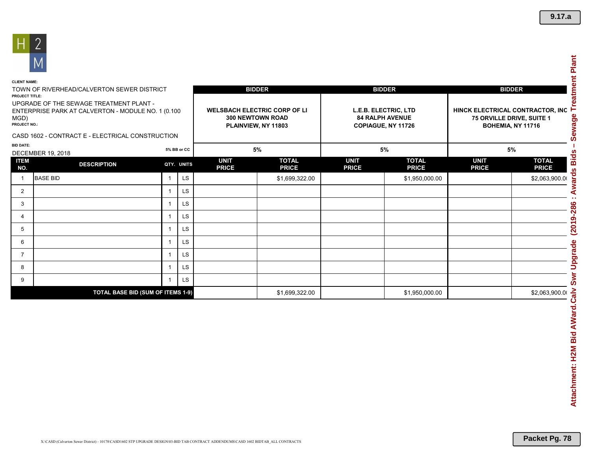

| <b>CLIENT NAME:</b>                                                                                                    |                                                  |    |                                                                                       |                             |                              |                                                                      |                                                                                    |                             |                              |  |
|------------------------------------------------------------------------------------------------------------------------|--------------------------------------------------|----|---------------------------------------------------------------------------------------|-----------------------------|------------------------------|----------------------------------------------------------------------|------------------------------------------------------------------------------------|-----------------------------|------------------------------|--|
| TOWN OF RIVERHEAD/CALVERTON SEWER DISTRICT<br><b>PROJECT TITLE:</b>                                                    |                                                  |    |                                                                                       |                             | <b>BIDDER</b>                |                                                                      | <b>BIDDER</b>                                                                      | <b>BIDDER</b>               |                              |  |
| UPGRADE OF THE SEWAGE TREATMENT PLANT -<br>ENTERPRISE PARK AT CALVERTON - MODULE NO. 1 (0.100)<br>MGD)<br>PROJECT NO.: |                                                  |    | <b>WELSBACH ELECTRIC CORP OF LI</b><br><b>300 NEWTOWN ROAD</b><br>PLAINVIEW, NY 11803 |                             |                              | L.E.B. ELECTRIC, LTD<br><b>84 RALPH AVENUE</b><br>COPIAGUE, NY 11726 | HINCK ELECTRICAL CONTRACTOR, INC<br>75 ORVILLE DRIVE, SUITE 1<br>BOHEMIA, NY 11716 |                             |                              |  |
|                                                                                                                        | CASD 1602 - CONTRACT E - ELECTRICAL CONSTRUCTION |    |                                                                                       |                             |                              |                                                                      |                                                                                    |                             |                              |  |
| <b>BID DATE:</b>                                                                                                       | 5% BB or CC<br>DECEMBER 19, 2018                 |    |                                                                                       |                             | 5%                           |                                                                      | 5%                                                                                 |                             | 5%                           |  |
| <b>ITEM</b><br>NO.                                                                                                     | <b>DESCRIPTION</b>                               |    | QTY. UNITS                                                                            | <b>UNIT</b><br><b>PRICE</b> | <b>TOTAL</b><br><b>PRICE</b> | <b>UNIT</b><br><b>PRICE</b>                                          | <b>TOTAL</b><br><b>PRICE</b>                                                       | <b>UNIT</b><br><b>PRICE</b> | <b>TOTAL</b><br><b>PRICE</b> |  |
|                                                                                                                        | <b>BASE BID</b>                                  |    | <b>LS</b>                                                                             |                             | \$1,699,322.00               |                                                                      | \$1,950,000.00                                                                     |                             | \$2,063,900.00               |  |
| 2                                                                                                                      |                                                  | -1 | <b>LS</b>                                                                             |                             |                              |                                                                      |                                                                                    |                             |                              |  |
| 3                                                                                                                      |                                                  |    | <b>LS</b>                                                                             |                             |                              |                                                                      |                                                                                    |                             |                              |  |
| 4                                                                                                                      |                                                  |    | <b>LS</b>                                                                             |                             |                              |                                                                      |                                                                                    |                             |                              |  |
| 5                                                                                                                      |                                                  |    | <b>LS</b>                                                                             |                             |                              |                                                                      |                                                                                    |                             |                              |  |
| 6                                                                                                                      |                                                  |    | <b>LS</b>                                                                             |                             |                              |                                                                      |                                                                                    |                             |                              |  |
| $\overline{7}$                                                                                                         |                                                  |    | <b>LS</b>                                                                             |                             |                              |                                                                      |                                                                                    |                             |                              |  |
| 8                                                                                                                      |                                                  |    | <b>LS</b>                                                                             |                             |                              |                                                                      |                                                                                    |                             |                              |  |
| 9                                                                                                                      |                                                  |    | LS                                                                                    |                             |                              |                                                                      |                                                                                    |                             |                              |  |
|                                                                                                                        | TOTAL BASE BID (SUM OF ITEMS 1-9)                |    |                                                                                       |                             | \$1,699,322.00               |                                                                      | \$1,950,000.00                                                                     |                             | \$2,063,900.00               |  |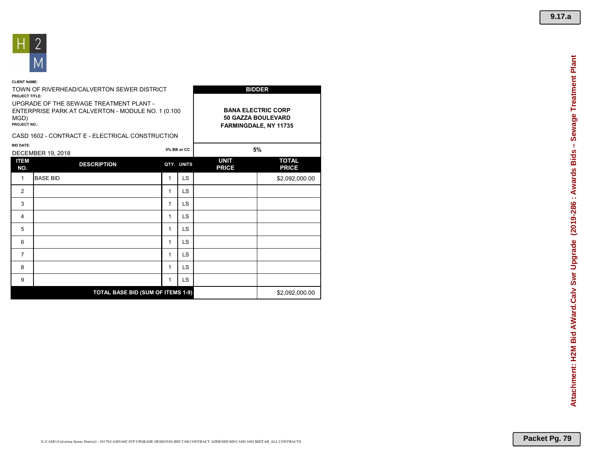

#### **CLIENT NAME:**

| <b>PROJECT TITLE:</b>       | TOWN OF RIVERHEAD/CALVERTON SEWER DISTRICT                                                     |                                                                          | <b>BIDDER</b> |                             |                              |  |
|-----------------------------|------------------------------------------------------------------------------------------------|--------------------------------------------------------------------------|---------------|-----------------------------|------------------------------|--|
| MGD)<br><b>PROJECT NO.:</b> | UPGRADE OF THE SEWAGE TREATMENT PLANT -<br>ENTERPRISE PARK AT CALVERTON - MODULE NO. 1 (0.100) | <b>BANA ELECTRIC CORP</b><br>50 GAZZA BOULEVARD<br>FARMINGDALE, NY 11735 |               |                             |                              |  |
|                             | CASD 1602 - CONTRACT E - ELECTRICAL CONSTRUCTION                                               |                                                                          |               |                             |                              |  |
| <b>BID DATE:</b>            | <b>DECEMBER 19, 2018</b>                                                                       |                                                                          | 5% BB or CC   |                             | 5%                           |  |
| <b>ITEM</b><br>NO.          | <b>DESCRIPTION</b>                                                                             |                                                                          | QTY. UNITS    | <b>UNIT</b><br><b>PRICE</b> | <b>TOTAL</b><br><b>PRICE</b> |  |
| 1                           | <b>BASE BID</b>                                                                                | 1                                                                        | LS.           |                             | \$2,092,000.00               |  |
| $\overline{2}$              |                                                                                                | 1                                                                        | <b>LS</b>     |                             |                              |  |
| 3                           |                                                                                                | 1                                                                        | <b>LS</b>     |                             |                              |  |
| 4                           |                                                                                                | 1                                                                        | <b>LS</b>     |                             |                              |  |
| 5                           |                                                                                                | 1                                                                        | LS.           |                             |                              |  |
| 6                           |                                                                                                | 1                                                                        | LS.           |                             |                              |  |
| $\overline{7}$              |                                                                                                | 1                                                                        | <b>LS</b>     |                             |                              |  |
| 8                           |                                                                                                | 1                                                                        | LS.           |                             |                              |  |
| 9                           |                                                                                                | 1                                                                        | <b>LS</b>     |                             |                              |  |
|                             | <b>TOTAL BASE BID (SUM OF ITEMS 1-9)</b>                                                       |                                                                          |               |                             | \$2,092,000.00               |  |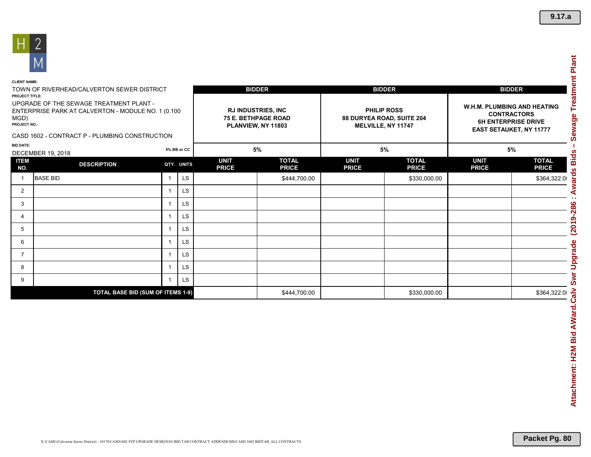

| <b>CLIENT NAME:</b>                                                                                                   |                                            |                          |                                                                               |                             |                                                                |                                                                                                                   |                              |                             |                              |  |
|-----------------------------------------------------------------------------------------------------------------------|--------------------------------------------|--------------------------|-------------------------------------------------------------------------------|-----------------------------|----------------------------------------------------------------|-------------------------------------------------------------------------------------------------------------------|------------------------------|-----------------------------|------------------------------|--|
| <b>PROJECT TITLE:</b>                                                                                                 | TOWN OF RIVERHEAD/CALVERTON SEWER DISTRICT |                          |                                                                               |                             | <b>BIDDER</b>                                                  |                                                                                                                   | <b>BIDDER</b>                | <b>BIDDER</b>               |                              |  |
| UPGRADE OF THE SEWAGE TREATMENT PLANT -<br>ENTERPRISE PARK AT CALVERTON - MODULE NO. 1 (0.100<br>MGD)<br>PROJECT NO.: |                                            |                          | <b>RJ INDUSTRIES, INC</b><br><b>75 E. BETHPAGE ROAD</b><br>PLANVIEW, NY 11803 |                             | PHILIP ROSS<br>88 DURYEA ROAD, SUITE 204<br>MELVILLE, NY 11747 | W.H.M. PLUMBING AND HEATING<br><b>CONTRACTORS</b><br><b>6H ENTERPRISE DRIVE</b><br><b>EAST SETAUKET, NY 11777</b> |                              |                             |                              |  |
| CASD 1602 - CONTRACT P - PLUMBING CONSTRUCTION                                                                        |                                            |                          |                                                                               |                             |                                                                |                                                                                                                   |                              |                             |                              |  |
| <b>BID DATE:</b>                                                                                                      | 5% BB or CC<br><b>DECEMBER 19, 2018</b>    |                          |                                                                               |                             | 5%                                                             |                                                                                                                   | 5%                           | 5%                          |                              |  |
| <b>ITEM</b><br>NO.                                                                                                    | <b>DESCRIPTION</b>                         |                          | QTY. UNITS                                                                    | <b>UNIT</b><br><b>PRICE</b> | <b>TOTAL</b><br><b>PRICE</b>                                   | <b>UNIT</b><br><b>PRICE</b>                                                                                       | <b>TOTAL</b><br><b>PRICE</b> | <b>UNIT</b><br><b>PRICE</b> | <b>TOTAL</b><br><b>PRICE</b> |  |
|                                                                                                                       | <b>BASE BID</b>                            | $\overline{1}$           | <b>LS</b>                                                                     |                             | \$444,700.00                                                   |                                                                                                                   | \$330,000.00                 |                             | \$364,322.00                 |  |
| $\overline{2}$                                                                                                        |                                            |                          | <b>LS</b>                                                                     |                             |                                                                |                                                                                                                   |                              |                             |                              |  |
| 3                                                                                                                     |                                            | $\overline{\phantom{a}}$ | <b>LS</b>                                                                     |                             |                                                                |                                                                                                                   |                              |                             |                              |  |
| 4                                                                                                                     |                                            | $\overline{ }$           | <b>LS</b>                                                                     |                             |                                                                |                                                                                                                   |                              |                             |                              |  |
| 5                                                                                                                     |                                            |                          | LS                                                                            |                             |                                                                |                                                                                                                   |                              |                             |                              |  |
| 6                                                                                                                     |                                            |                          | <b>LS</b>                                                                     |                             |                                                                |                                                                                                                   |                              |                             |                              |  |
| $\overline{7}$                                                                                                        |                                            | $\overline{1}$           | <b>LS</b>                                                                     |                             |                                                                |                                                                                                                   |                              |                             |                              |  |
| 8                                                                                                                     |                                            |                          | LS                                                                            |                             |                                                                |                                                                                                                   |                              |                             |                              |  |
| 9                                                                                                                     |                                            |                          | LS                                                                            |                             |                                                                |                                                                                                                   |                              |                             |                              |  |
|                                                                                                                       | TOTAL BASE BID (SUM OF ITEMS 1-9)          |                          |                                                                               |                             | \$444,700.00                                                   |                                                                                                                   | \$330,000.00                 |                             | \$364,322.00                 |  |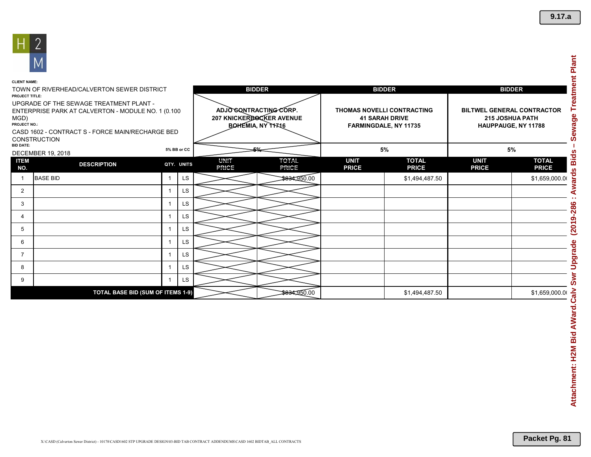

| <b>CLIENT NAME:</b>                                                                                                                                                                                     |                                            |  |             |                                                                        |                             |                                                                                     |                                                                                    |                             |                              |
|---------------------------------------------------------------------------------------------------------------------------------------------------------------------------------------------------------|--------------------------------------------|--|-------------|------------------------------------------------------------------------|-----------------------------|-------------------------------------------------------------------------------------|------------------------------------------------------------------------------------|-----------------------------|------------------------------|
| <b>PROJECT TITLE:</b>                                                                                                                                                                                   | TOWN OF RIVERHEAD/CALVERTON SEWER DISTRICT |  |             |                                                                        | <b>BIDDER</b>               |                                                                                     | <b>BIDDER</b>                                                                      | <b>BIDDER</b>               |                              |
| UPGRADE OF THE SEWAGE TREATMENT PLANT -<br>ENTERPRISE PARK AT CALVERTON - MODULE NO. 1 (0.100<br>MGD)<br><b>PROJECT NO.:</b><br>CASD 1602 - CONTRACT S - FORCE MAIN/RECHARGE BED<br><b>CONSTRUCTION</b> |                                            |  |             | ADJOGONTRACTING CORP.<br>207 KNICKERBOCKER AVENUE<br>BOHEMIA, NY 11716 |                             | <b>THOMAS NOVELLI CONTRACTING</b><br><b>41 SARAH DRIVE</b><br>FARMINGDALE, NY 11735 | <b>BILTWEL GENERAL CONTRACTOR</b><br><b>215 JOSHUA PATH</b><br>HAUPPAUGE, NY 11788 |                             |                              |
| <b>BID DATE:</b>                                                                                                                                                                                        | <b>DECEMBER 19, 2018</b>                   |  | 5% BB or CC |                                                                        | $rac{1}{\sqrt{2}}$          |                                                                                     | 5%                                                                                 | 5%                          |                              |
| <b>ITEM</b><br>NO.                                                                                                                                                                                      | <b>DESCRIPTION</b>                         |  | QTY. UNITS  | UNIT<br>PRICE                                                          | TOTAL <sub>1</sub><br>PRICE | <b>UNIT</b><br><b>PRICE</b>                                                         | <b>TOTAL</b><br><b>PRICE</b>                                                       | <b>UNIT</b><br><b>PRICE</b> | <b>TOTAL</b><br><b>PRICE</b> |
|                                                                                                                                                                                                         | <b>BASE BID</b>                            |  | LS.         |                                                                        | \$834,950.00                |                                                                                     | \$1,494,487.50                                                                     |                             | \$1,659,000.00               |
| $\overline{2}$                                                                                                                                                                                          |                                            |  | <b>LS</b>   |                                                                        |                             |                                                                                     |                                                                                    |                             |                              |
| 3                                                                                                                                                                                                       |                                            |  | LS.         |                                                                        |                             |                                                                                     |                                                                                    |                             |                              |
| 4                                                                                                                                                                                                       |                                            |  | LS          |                                                                        |                             |                                                                                     |                                                                                    |                             |                              |
| 5                                                                                                                                                                                                       |                                            |  | LS.         |                                                                        |                             |                                                                                     |                                                                                    |                             |                              |
| 6                                                                                                                                                                                                       |                                            |  | LS          |                                                                        |                             |                                                                                     |                                                                                    |                             |                              |
| 7                                                                                                                                                                                                       |                                            |  | LS.         |                                                                        |                             |                                                                                     |                                                                                    |                             |                              |
| 8                                                                                                                                                                                                       |                                            |  | LS          |                                                                        |                             |                                                                                     |                                                                                    |                             |                              |
| 9                                                                                                                                                                                                       |                                            |  | LS.         |                                                                        |                             |                                                                                     |                                                                                    |                             |                              |
|                                                                                                                                                                                                         | <b>TOTAL BASE BID (SUM OF ITEMS 1-9)</b>   |  |             |                                                                        | 8834,950.00                 |                                                                                     | \$1,494,487.50                                                                     |                             | \$1,659,000.00               |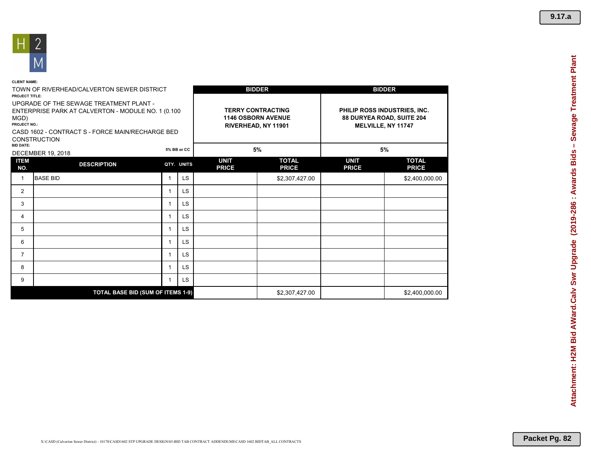

| <b>CLIENT NAME:</b>                                                                                                                                                                               |                                            |              |             |                             |                                                                              |                                                                                 |                              |  |
|---------------------------------------------------------------------------------------------------------------------------------------------------------------------------------------------------|--------------------------------------------|--------------|-------------|-----------------------------|------------------------------------------------------------------------------|---------------------------------------------------------------------------------|------------------------------|--|
| <b>PROJECT TITLE:</b>                                                                                                                                                                             | TOWN OF RIVERHEAD/CALVERTON SEWER DISTRICT |              |             |                             | <b>BIDDER</b>                                                                |                                                                                 | <b>BIDDER</b>                |  |
| UPGRADE OF THE SEWAGE TREATMENT PLANT -<br>ENTERPRISE PARK AT CALVERTON - MODULE NO. 1 (0.100)<br>MGD)<br>PROJECT NO.:<br>CASD 1602 - CONTRACT S - FORCE MAIN/RECHARGE BED<br><b>CONSTRUCTION</b> |                                            |              |             |                             | <b>TERRY CONTRACTING</b><br><b>1146 OSBORN AVENUE</b><br>RIVERHEAD, NY 11901 | PHILIP ROSS INDUSTRIES, INC.<br>88 DURYEA ROAD, SUITE 204<br>MELVILLE, NY 11747 |                              |  |
| <b>BID DATE:</b><br><b>DECEMBER 19, 2018</b>                                                                                                                                                      |                                            |              | 5% BB or CC |                             | 5%                                                                           | 5%                                                                              |                              |  |
| <b>ITEM</b><br>NO.                                                                                                                                                                                | <b>DESCRIPTION</b>                         |              | QTY. UNITS  | <b>UNIT</b><br><b>PRICE</b> | <b>TOTAL</b><br><b>PRICE</b>                                                 | <b>UNIT</b><br><b>PRICE</b>                                                     | <b>TOTAL</b><br><b>PRICE</b> |  |
| $\mathbf{1}$                                                                                                                                                                                      | <b>BASE BID</b>                            | $\mathbf{1}$ | <b>LS</b>   |                             | \$2,307,427.00                                                               |                                                                                 | \$2,400,000.00               |  |
| 2                                                                                                                                                                                                 |                                            | $\mathbf{1}$ | LS          |                             |                                                                              |                                                                                 |                              |  |
| 3                                                                                                                                                                                                 |                                            | 1            | LS          |                             |                                                                              |                                                                                 |                              |  |
| 4                                                                                                                                                                                                 |                                            | 1            | <b>LS</b>   |                             |                                                                              |                                                                                 |                              |  |
| 5                                                                                                                                                                                                 |                                            | $\mathbf{1}$ | LS          |                             |                                                                              |                                                                                 |                              |  |
| 6                                                                                                                                                                                                 |                                            | $\mathbf{1}$ | LS          |                             |                                                                              |                                                                                 |                              |  |
| $\overline{7}$                                                                                                                                                                                    |                                            | $\mathbf{1}$ | <b>LS</b>   |                             |                                                                              |                                                                                 |                              |  |
| 8                                                                                                                                                                                                 |                                            | $\mathbf{1}$ | <b>LS</b>   |                             |                                                                              |                                                                                 |                              |  |
| 9                                                                                                                                                                                                 |                                            | 1            | LS          |                             |                                                                              |                                                                                 |                              |  |
|                                                                                                                                                                                                   | <b>TOTAL BASE BID (SUM OF ITEMS 1-9)</b>   |              |             |                             | \$2,307,427.00                                                               |                                                                                 | \$2,400,000.00               |  |